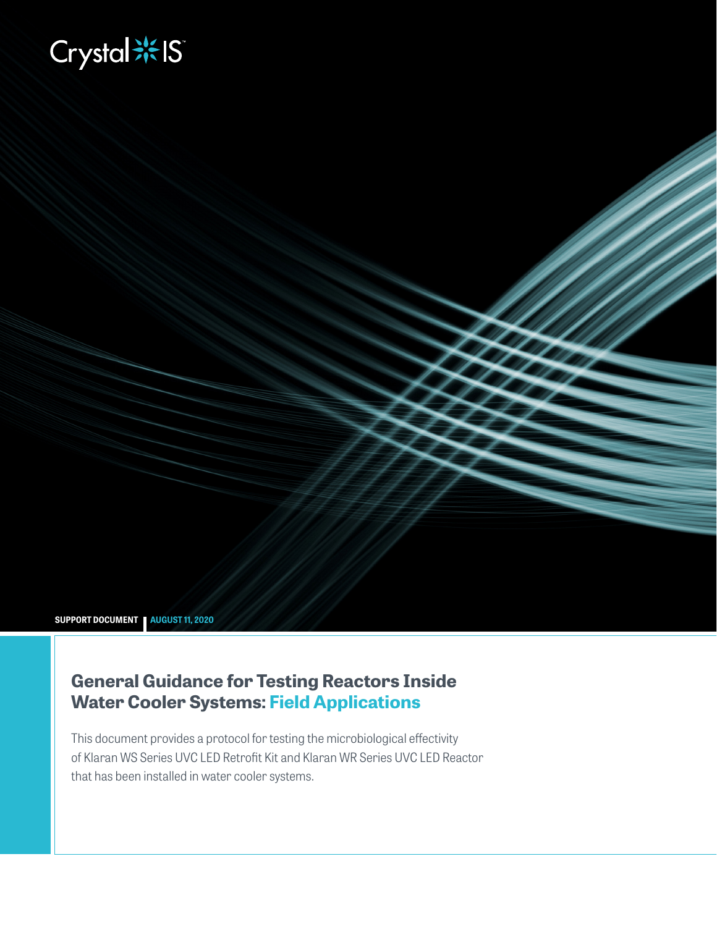# **Biography**

**SUPPORT DOCUMENT AUGUST 11, 2020**

## **General Guidance for Testing Reactors Inside Water Cooler Systems: Field Applications**

This document provides a protocol for testing the microbiological effectivity of Klaran WS Series UVC LED Retrofit Kit and Klaran WR Series UVC LED Reactor that has been installed in water cooler systems.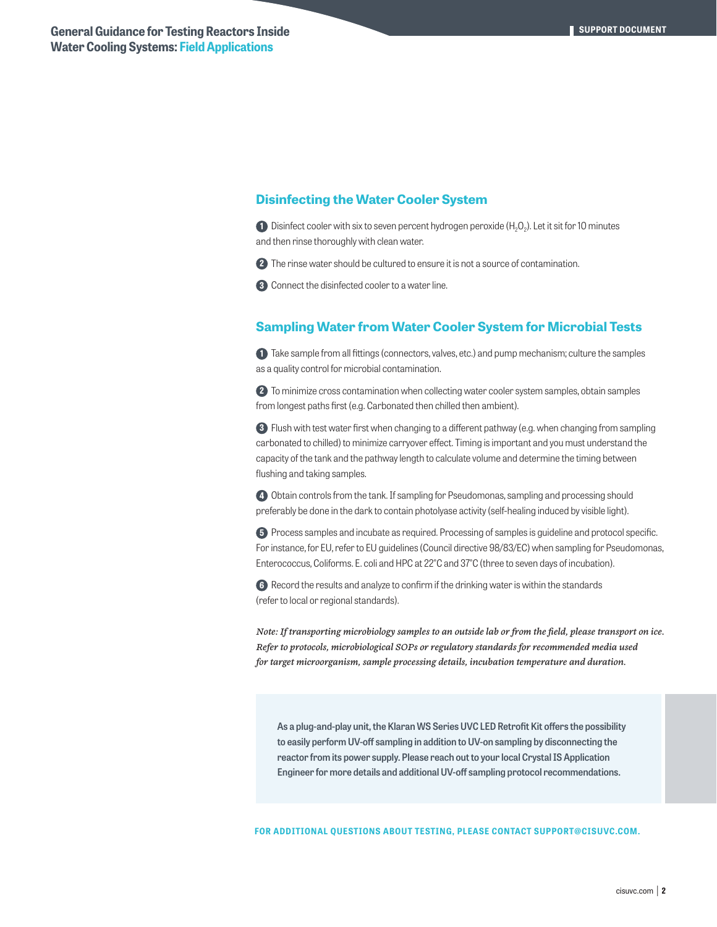#### **Disinfecting the Water Cooler System**

**1** Disinfect cooler with six to seven percent hydrogen peroxide (H<sub>2</sub>O<sub>2</sub>). Let it sit for 10 minutes and then rinse thoroughly with clean water.

**2** The rinse water should be cultured to ensure it is not a source of contamination.

**3** Connect the disinfected cooler to a water line.

### **Sampling Water from Water Cooler System for Microbial Tests**

**1** Take sample from all fittings (connectors, valves, etc.) and pump mechanism; culture the samples as a quality control for microbial contamination.

**2** To minimize cross contamination when collecting water cooler system samples, obtain samples from longest paths first (e.g. Carbonated then chilled then ambient).

**3** Flush with test water first when changing to a different pathway (e.g. when changing from sampling carbonated to chilled) to minimize carryover effect. Timing is important and you must understand the capacity of the tank and the pathway length to calculate volume and determine the timing between flushing and taking samples.

**4** Obtain controls from the tank. If sampling for Pseudomonas, sampling and processing should preferably be done in the dark to contain photolyase activity (self-healing induced by visible light).

**5** Process samples and incubate as required. Processing of samples is guideline and protocol specific. For instance, for EU, refer to EU guidelines (Council directive 98/83/EC) when sampling for Pseudomonas, Enterococcus, Coliforms. E. coli and HPC at 22°C and 37°C (three to seven days of incubation).

**6** Record the results and analyze to confirm if the drinking water is within the standards (refer to local or regional standards).

*Note: If transporting microbiology samples to an outside lab or from the field, please transport on ice. Refer to protocols, microbiological SOPs or regulatory standards for recommended media used for target microorganism, sample processing details, incubation temperature and duration.* 

**As a plug-and-play unit, the Klaran WS Series UVC LED Retrofit Kit offers the possibility to easily perform UV-off sampling in addition to UV-on sampling by disconnecting the reactor from its power supply. Please reach out to your local Crystal IS Application Engineer for more details and additional UV-off sampling protocol recommendations.**

**FOR ADDITIONAL QUESTIONS ABOUT TESTING, PLEASE CONTACT SUPPORT@CISUVC.COM.**